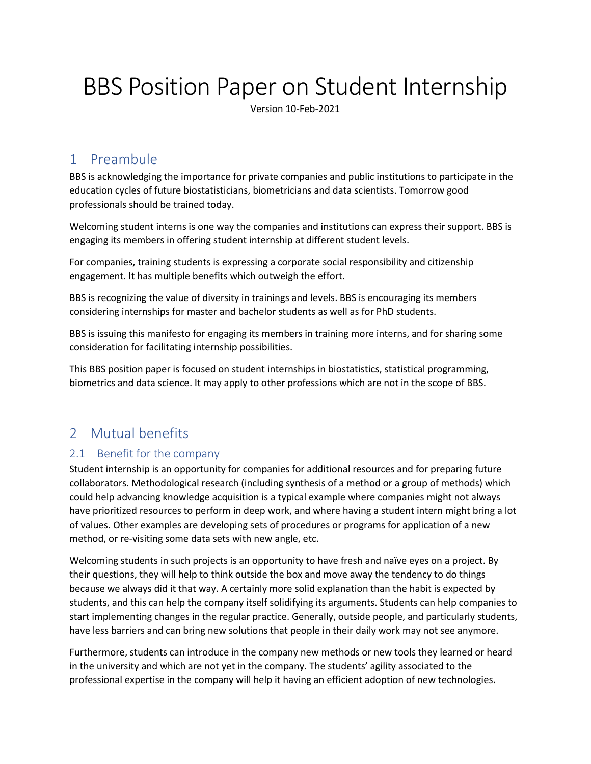# BBS Position Paper on Student Internship

Version 10-Feb-2021

## 1 Preambule

BBS is acknowledging the importance for private companies and public institutions to participate in the education cycles of future biostatisticians, biometricians and data scientists. Tomorrow good professionals should be trained today.

Welcoming student interns is one way the companies and institutions can express their support. BBS is engaging its members in offering student internship at different student levels.

For companies, training students is expressing a corporate social responsibility and citizenship engagement. It has multiple benefits which outweigh the effort.

BBS is recognizing the value of diversity in trainings and levels. BBS is encouraging its members considering internships for master and bachelor students as well as for PhD students.

BBS is issuing this manifesto for engaging its members in training more interns, and for sharing some consideration for facilitating internship possibilities.

This BBS position paper is focused on student internships in biostatistics, statistical programming, biometrics and data science. It may apply to other professions which are not in the scope of BBS.

# 2 Mutual benefits

## 2.1 Benefit for the company

Student internship is an opportunity for companies for additional resources and for preparing future collaborators. Methodological research (including synthesis of a method or a group of methods) which could help advancing knowledge acquisition is a typical example where companies might not always have prioritized resources to perform in deep work, and where having a student intern might bring a lot of values. Other examples are developing sets of procedures or programs for application of a new method, or re-visiting some data sets with new angle, etc.

Welcoming students in such projects is an opportunity to have fresh and naïve eyes on a project. By their questions, they will help to think outside the box and move away the tendency to do things because we always did it that way. A certainly more solid explanation than the habit is expected by students, and this can help the company itself solidifying its arguments. Students can help companies to start implementing changes in the regular practice. Generally, outside people, and particularly students, have less barriers and can bring new solutions that people in their daily work may not see anymore.

Furthermore, students can introduce in the company new methods or new tools they learned or heard in the university and which are not yet in the company. The students' agility associated to the professional expertise in the company will help it having an efficient adoption of new technologies.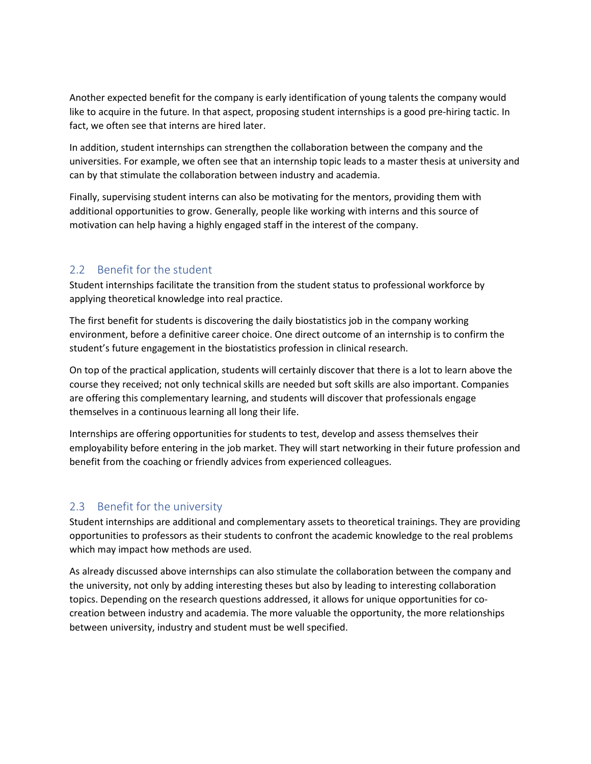Another expected benefit for the company is early identification of young talents the company would like to acquire in the future. In that aspect, proposing student internships is a good pre-hiring tactic. In fact, we often see that interns are hired later.

In addition, student internships can strengthen the collaboration between the company and the universities. For example, we often see that an internship topic leads to a master thesis at university and can by that stimulate the collaboration between industry and academia.

Finally, supervising student interns can also be motivating for the mentors, providing them with additional opportunities to grow. Generally, people like working with interns and this source of motivation can help having a highly engaged staff in the interest of the company.

#### 2.2 Benefit for the student

Student internships facilitate the transition from the student status to professional workforce by applying theoretical knowledge into real practice.

The first benefit for students is discovering the daily biostatistics job in the company working environment, before a definitive career choice. One direct outcome of an internship is to confirm the student's future engagement in the biostatistics profession in clinical research.

On top of the practical application, students will certainly discover that there is a lot to learn above the course they received; not only technical skills are needed but soft skills are also important. Companies are offering this complementary learning, and students will discover that professionals engage themselves in a continuous learning all long their life.

Internships are offering opportunities for students to test, develop and assess themselves their employability before entering in the job market. They will start networking in their future profession and benefit from the coaching or friendly advices from experienced colleagues.

#### 2.3 Benefit for the university

Student internships are additional and complementary assets to theoretical trainings. They are providing opportunities to professors as their students to confront the academic knowledge to the real problems which may impact how methods are used.

As already discussed above internships can also stimulate the collaboration between the company and the university, not only by adding interesting theses but also by leading to interesting collaboration topics. Depending on the research questions addressed, it allows for unique opportunities for cocreation between industry and academia. The more valuable the opportunity, the more relationships between university, industry and student must be well specified.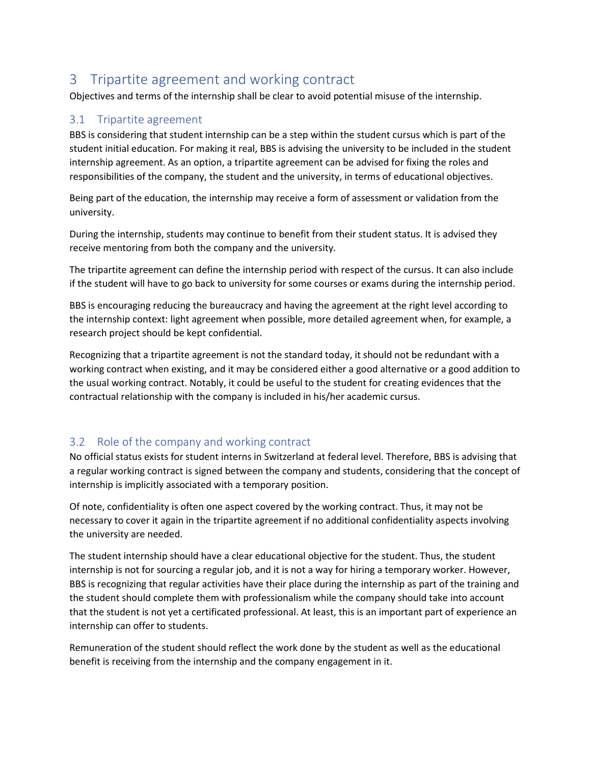## 3 Tripartite agreement and working contract

Objectives and terms of the internship shall be clear to avoid potential misuse of the internship.

#### 3.1 Tripartite agreement

BBS is considering that student internship can be a step within the student cursus which is part of the student initial education. For making it real, BBS is advising the university to be included in the student internship agreement. As an option, a tripartite agreement can be advised for fixing the roles and responsibilities of the company, the student and the university, in terms of educational objectives.

Being part of the education, the internship may receive a form of assessment or validation from the university.

During the internship, students may continue to benefit from their student status. It is advised they receive mentoring from both the company and the university.

The tripartite agreement can define the internship period with respect of the cursus. It can also include if the student will have to go back to university for some courses or exams during the internship period.

BBS is encouraging reducing the bureaucracy and having the agreement at the right level according to the internship context: light agreement when possible, more detailed agreement when, for example, a research project should be kept confidential.

Recognizing that a tripartite agreement is not the standard today, it should not be redundant with a working contract when existing, and it may be considered either a good alternative or a good addition to the usual working contract. Notably, it could be useful to the student for creating evidences that the contractual relationship with the company is included in his/her academic cursus.

## 3.2 Role of the company and working contract

No official status exists for student interns in Switzerland at federal level. Therefore, BBS is advising that a regular working contract is signed between the company and students, considering that the concept of internship is implicitly associated with a temporary position.

Of note, confidentiality is often one aspect covered by the working contract. Thus, it may not be necessary to cover it again in the tripartite agreement if no additional confidentiality aspects involving the university are needed.

The student internship should have a clear educational objective for the student. Thus, the student internship is not for sourcing a regular job, and it is not a way for hiring a temporary worker. However, BBS is recognizing that regular activities have their place during the internship as part of the training and the student should complete them with professionalism while the company should take into account that the student is not yet a certificated professional. At least, this is an important part of experience an internship can offer to students.

Remuneration of the student should reflect the work done by the student as well as the educational benefit is receiving from the internship and the company engagement in it.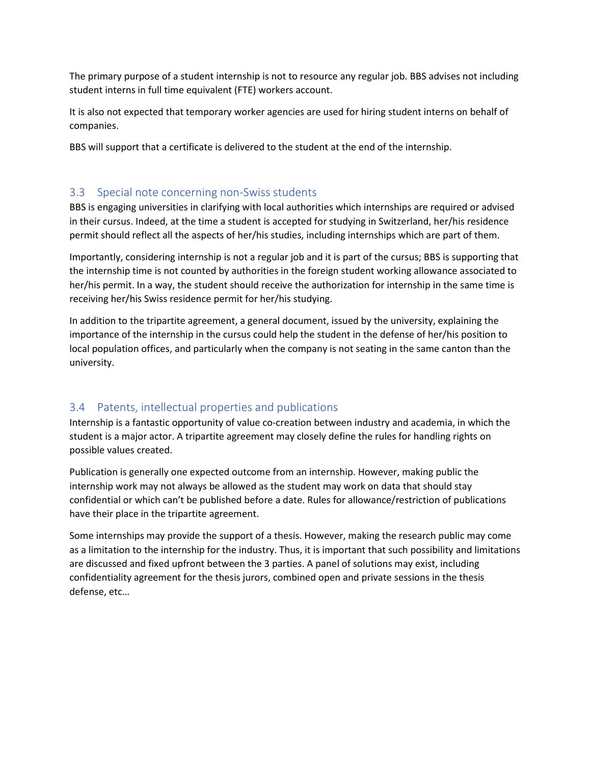The primary purpose of a student internship is not to resource any regular job. BBS advises not including student interns in full time equivalent (FTE) workers account.

It is also not expected that temporary worker agencies are used for hiring student interns on behalf of companies.

BBS will support that a certificate is delivered to the student at the end of the internship.

#### 3.3 Special note concerning non-Swiss students

BBS is engaging universities in clarifying with local authorities which internships are required or advised in their cursus. Indeed, at the time a student is accepted for studying in Switzerland, her/his residence permit should reflect all the aspects of her/his studies, including internships which are part of them.

Importantly, considering internship is not a regular job and it is part of the cursus; BBS is supporting that the internship time is not counted by authorities in the foreign student working allowance associated to her/his permit. In a way, the student should receive the authorization for internship in the same time is receiving her/his Swiss residence permit for her/his studying.

In addition to the tripartite agreement, a general document, issued by the university, explaining the importance of the internship in the cursus could help the student in the defense of her/his position to local population offices, and particularly when the company is not seating in the same canton than the university.

## 3.4 Patents, intellectual properties and publications

Internship is a fantastic opportunity of value co-creation between industry and academia, in which the student is a major actor. A tripartite agreement may closely define the rules for handling rights on possible values created.

Publication is generally one expected outcome from an internship. However, making public the internship work may not always be allowed as the student may work on data that should stay confidential or which can't be published before a date. Rules for allowance/restriction of publications have their place in the tripartite agreement.

Some internships may provide the support of a thesis. However, making the research public may come as a limitation to the internship for the industry. Thus, it is important that such possibility and limitations are discussed and fixed upfront between the 3 parties. A panel of solutions may exist, including confidentiality agreement for the thesis jurors, combined open and private sessions in the thesis defense, etc…